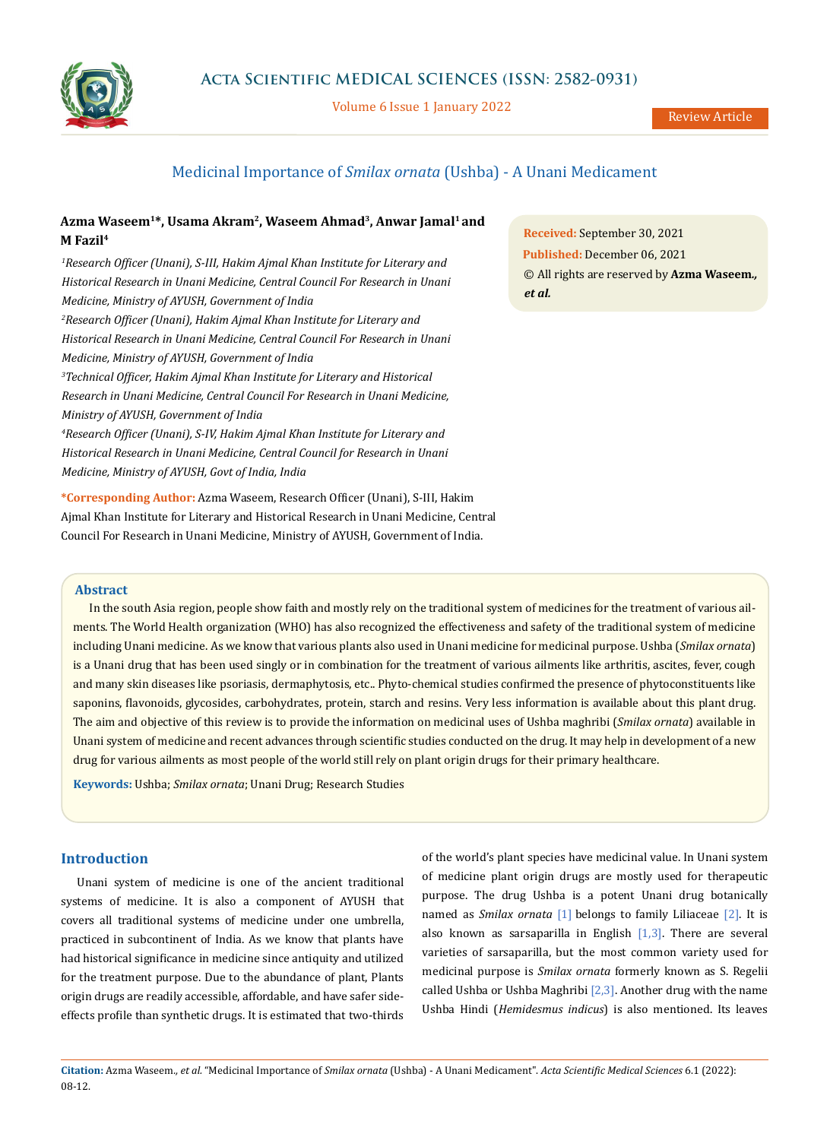

Volume 6 Issue 1 January 2022

# Medicinal Importance of *Smilax ornata* (Ushba) - A Unani Medicament

# Azma Waseem<sup>1\*</sup>, Usama Akram<sup>2</sup>, Waseem Ahmad<sup>3</sup>, Anwar Jamal<sup>1</sup> and **M Fazil4**

*1 Research Officer (Unani), S-III, Hakim Ajmal Khan Institute for Literary and Historical Research in Unani Medicine, Central Council For Research in Unani Medicine, Ministry of AYUSH, Government of India 2 Research Officer (Unani), Hakim Ajmal Khan Institute for Literary and Historical Research in Unani Medicine, Central Council For Research in Unani Medicine, Ministry of AYUSH, Government of India 3 Technical Officer, Hakim Ajmal Khan Institute for Literary and Historical Research in Unani Medicine, Central Council For Research in Unani Medicine, Ministry of AYUSH, Government of India 4 Research Officer (Unani), S-IV, Hakim Ajmal Khan Institute for Literary and Historical Research in Unani Medicine, Central Council for Research in Unani Medicine, Ministry of AYUSH, Govt of India, India*

**\*Corresponding Author:** Azma Waseem, Research Officer (Unani), S-III, Hakim Ajmal Khan Institute for Literary and Historical Research in Unani Medicine, Central Council For Research in Unani Medicine, Ministry of AYUSH, Government of India.

**Received:** September 30, 2021 **Published:** December 06, 2021 © All rights are reserved by **Azma Waseem***., et al.*

# **Abstract**

In the south Asia region, people show faith and mostly rely on the traditional system of medicines for the treatment of various ailments. The World Health organization (WHO) has also recognized the effectiveness and safety of the traditional system of medicine including Unani medicine. As we know that various plants also used in Unani medicine for medicinal purpose. Ushba (*Smilax ornata*) is a Unani drug that has been used singly or in combination for the treatment of various ailments like arthritis, ascites, fever, cough and many skin diseases like psoriasis, dermaphytosis, etc.. Phyto-chemical studies confirmed the presence of phytoconstituents like saponins, flavonoids, glycosides, carbohydrates, protein, starch and resins. Very less information is available about this plant drug. The aim and objective of this review is to provide the information on medicinal uses of Ushba maghribi (*Smilax ornata*) available in Unani system of medicine and recent advances through scientific studies conducted on the drug. It may help in development of a new drug for various ailments as most people of the world still rely on plant origin drugs for their primary healthcare.

**Keywords:** Ushba; *Smilax ornata*; Unani Drug; Research Studies

# **Introduction**

Unani system of medicine is one of the ancient traditional systems of medicine. It is also a component of AYUSH that covers all traditional systems of medicine under one umbrella, practiced in subcontinent of India. As we know that plants have had historical significance in medicine since antiquity and utilized for the treatment purpose. Due to the abundance of plant, Plants origin drugs are readily accessible, affordable, and have safer sideeffects profile than synthetic drugs. It is estimated that two-thirds of the world's plant species have medicinal value. In Unani system of medicine plant origin drugs are mostly used for therapeutic purpose. The drug Ushba is a potent Unani drug botanically named as *Smilax ornata* [1] belongs to family Liliaceae [2]. It is also known as sarsaparilla in English  $[1,3]$ . There are several varieties of sarsaparilla, but the most common variety used for medicinal purpose is *Smilax ornata* formerly known as S. Regelii called Ushba or Ushba Maghribi  $[2,3]$ . Another drug with the name Ushba Hindi (*Hemidesmus indicus*) is also mentioned. Its leaves

**Citation:** Azma Waseem*., et al.* "Medicinal Importance of *Smilax ornata* (Ushba) - A Unani Medicament". *Acta Scientific Medical Sciences* 6.1 (2022): 08-12.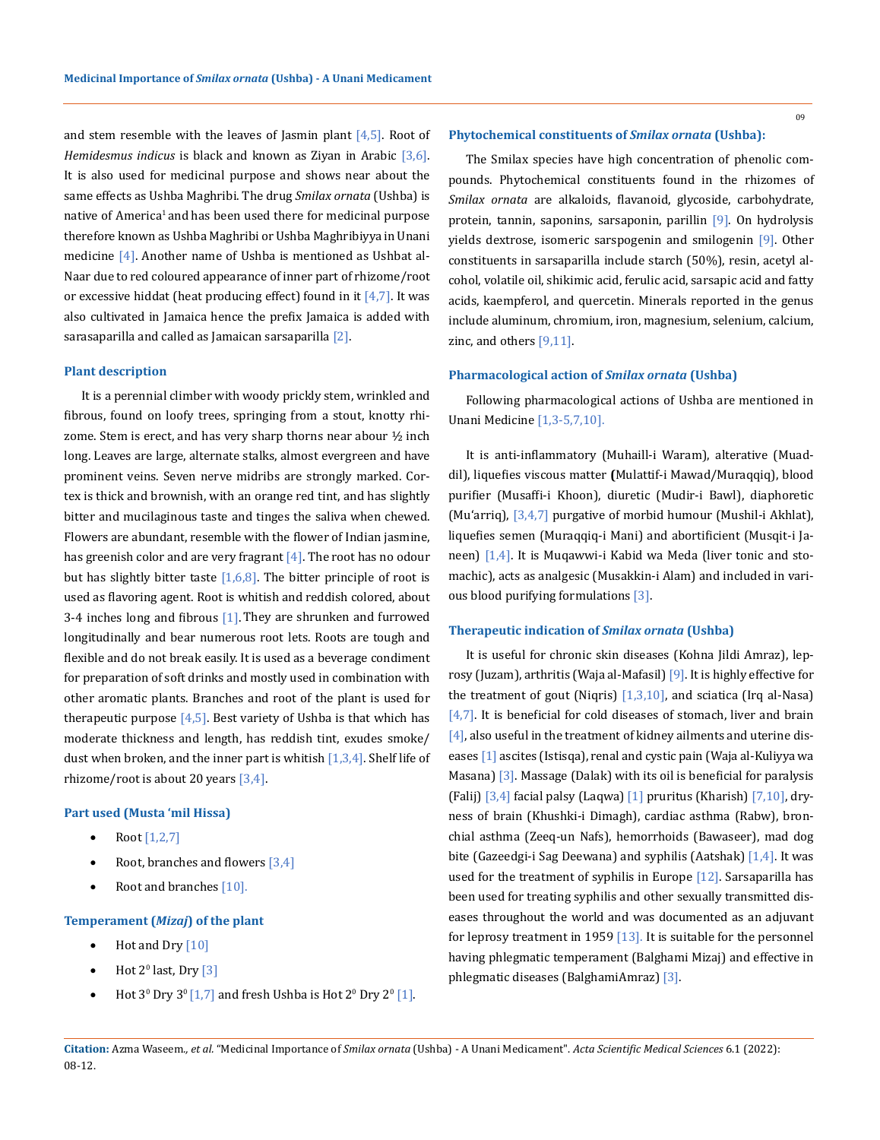and stem resemble with the leaves of Jasmin plant  $[4,5]$ . Root of *Hemidesmus indicus* is black and known as Ziyan in Arabic [3,6]. It is also used for medicinal purpose and shows near about the same effects as Ushba Maghribi. The drug *Smilax ornata* (Ushba) is native of America<sup>1</sup> and has been used there for medicinal purpose therefore known as Ushba Maghribi or Ushba Maghribiyya in Unani medicine [4]. Another name of Ushba is mentioned as Ushbat al-Naar due to red coloured appearance of inner part of rhizome/root or excessive hiddat (heat producing effect) found in it  $[4,7]$ . It was also cultivated in Jamaica hence the prefix Jamaica is added with sarasaparilla and called as Jamaican sarsaparilla [2].

#### **Plant description**

It is a perennial climber with woody prickly stem, wrinkled and fibrous, found on loofy trees, springing from a stout, knotty rhizome. Stem is erect, and has very sharp thorns near abour  $\frac{1}{2}$  inch long. Leaves are large, alternate stalks, almost evergreen and have prominent veins. Seven nerve midribs are strongly marked. Cortex is thick and brownish, with an orange red tint, and has slightly bitter and mucilaginous taste and tinges the saliva when chewed. Flowers are abundant, resemble with the flower of Indian jasmine, has greenish color and are very fragrant [4]. The root has no odour but has slightly bitter taste  $[1,6,8]$ . The bitter principle of root is used as flavoring agent. Root is whitish and reddish colored, about 3-4 inches long and fibrous  $[1]$ . They are shrunken and furrowed longitudinally and bear numerous root lets. Roots are tough and flexible and do not break easily. It is used as a beverage condiment for preparation of soft drinks and mostly used in combination with other aromatic plants. Branches and root of the plant is used for therapeutic purpose  $[4,5]$ . Best variety of Ushba is that which has moderate thickness and length, has reddish tint, exudes smoke/ dust when broken, and the inner part is whitish  $[1,3,4]$ . Shelf life of rhizome/root is about 20 years  $[3,4]$ .

### **Part used (Musta 'mil Hissa)**

- Root  $[1,2,7]$
- Root, branches and flowers  $[3,4]$
- Root and branches  $[10]$ .

# **Temperament (***Mizaj***) of the plant**

- Hot and Dry  $[10]$
- Hot  $2^0$  last, Dry  $[3]$
- Hot  $3^0$  Dry  $3^0$  [1,7] and fresh Ushba is Hot  $2^0$  Dry  $2^0$  [1].

#### **Phytochemical constituents of** *Smilax ornata* **(Ushba):**

The Smilax species have high concentration of phenolic compounds. Phytochemical constituents found in the rhizomes of *Smilax ornata* are alkaloids, flavanoid, glycoside, carbohydrate, protein, tannin, saponins, sarsaponin, parillin [9]. On hydrolysis yields dextrose, isomeric sarspogenin and smilogenin [9]. Other constituents in sarsaparilla include starch (50%), resin, acetyl alcohol, volatile oil, shikimic acid, ferulic acid, sarsapic acid and fatty acids, kaempferol, and quercetin. Minerals reported in the genus include aluminum, chromium, iron, magnesium, selenium, calcium, zinc, and others  $[9,11]$ .

### **Pharmacological action of** *Smilax ornata* **(Ushba)**

Following pharmacological actions of Ushba are mentioned in Unani Medicine [1,3-5,7,10].

It is anti-inflammatory (Muhaill-i Waram), alterative (Muaddil), liquefies viscous matter **(**Mulattif-i Mawad/Muraqqiq), blood purifier (Musaffi-i Khoon), diuretic (Mudir-i Bawl), diaphoretic (Mu'arriq), [3,4,7] purgative of morbid humour (Mushil-i Akhlat), liquefies semen (Muraqqiq-i Mani) and abortificient (Musqit-i Janeen) [1,4]. It is Muqawwi-i Kabid wa Meda (liver tonic and stomachic), acts as analgesic (Musakkin-i Alam) and included in various blood purifying formulations [3].

### **Therapeutic indication of** *Smilax ornata* **(Ushba)**

It is useful for chronic skin diseases (Kohna Jildi Amraz), leprosy (Juzam), arthritis (Waja al-Mafasil) [9]. It is highly effective for the treatment of gout (Niqris)  $[1,3,10]$ , and sciatica (Irq al-Nasa)  $[4,7]$ . It is beneficial for cold diseases of stomach, liver and brain [4], also useful in the treatment of kidney ailments and uterine diseases [1] ascites (Istisqa), renal and cystic pain (Waja al-Kuliyya wa Masana) [3]. Massage (Dalak) with its oil is beneficial for paralysis (Falij)  $[3,4]$  facial palsy (Laqwa)  $[1]$  pruritus (Kharish)  $[7,10]$ , dryness of brain (Khushki-i Dimagh), cardiac asthma (Rabw), bronchial asthma (Zeeq-un Nafs), hemorrhoids (Bawaseer), mad dog bite (Gazeedgi-i Sag Deewana) and syphilis (Aatshak) [1,4]. It was used for the treatment of syphilis in Europe [12]. Sarsaparilla has been used for treating syphilis and other sexually transmitted diseases throughout the world and was documented as an adjuvant for leprosy treatment in 1959 [13]. It is suitable for the personnel having phlegmatic temperament (Balghami Mizaj) and effective in phlegmatic diseases (BalghamiAmraz) [3].

09

**Citation:** Azma Waseem*., et al.* "Medicinal Importance of *Smilax ornata* (Ushba) - A Unani Medicament". *Acta Scientific Medical Sciences* 6.1 (2022): 08-12.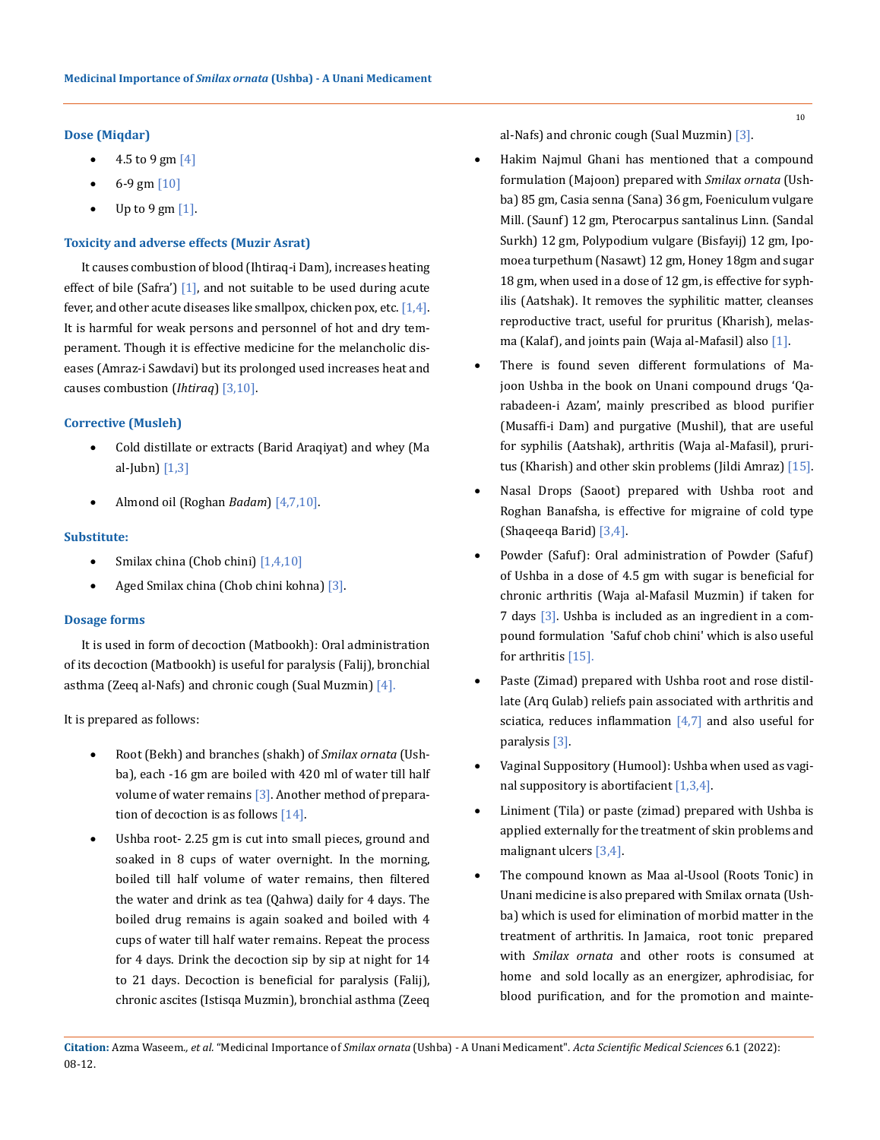# **Dose (Miqdar)**

- 4.5 to 9 gm  $[4]$
- 6-9 gm  $[10]$
- Up to 9 gm  $[1]$ .

# **Toxicity and adverse effects (Muzir Asrat)**

It causes combustion of blood (Ihtiraq-i Dam), increases heating effect of bile (Safra')  $[1]$ , and not suitable to be used during acute fever, and other acute diseases like smallpox, chicken pox, etc.  $[1,4]$ . It is harmful for weak persons and personnel of hot and dry temperament. Though it is effective medicine for the melancholic diseases (Amraz-i Sawdavi) but its prolonged used increases heat and causes combustion (*Ihtiraq*) [3,10].

# **Corrective (Musleh)**

- Cold distillate or extracts (Barid Araqiyat) and whey (Ma al-Jubn) [1,3]
- Almond oil (Roghan *Badam*) [4,7,10].

# **Substitute:**

- Smilax china (Chob chini)  $[1,4,10]$
- Aged Smilax china (Chob chini kohna) [3].

# **Dosage forms**

It is used in form of decoction (Matbookh): Oral administration of its decoction (Matbookh) is useful for paralysis (Falij), bronchial asthma (Zeeq al-Nafs) and chronic cough (Sual Muzmin)  $[4]$ .

It is prepared as follows:

- • Root (Bekh) and branches (shakh) of *Smilax ornata* (Ushba), each -16 gm are boiled with 420 ml of water till half volume of water remains [3]. Another method of preparation of decoction is as follows [14].
- Ushba root- 2.25 gm is cut into small pieces, ground and soaked in 8 cups of water overnight. In the morning, boiled till half volume of water remains, then filtered the water and drink as tea (Qahwa) daily for 4 days. The boiled drug remains is again soaked and boiled with 4 cups of water till half water remains. Repeat the process for 4 days. Drink the decoction sip by sip at night for 14 to 21 days. Decoction is beneficial for paralysis (Falij), chronic ascites (Istisqa Muzmin), bronchial asthma (Zeeq

al-Nafs) and chronic cough (Sual Muzmin) [3].

- Hakim Najmul Ghani has mentioned that a compound formulation (Majoon) prepared with *Smilax ornata* (Ushba) 85 gm, Casia senna (Sana) 36 gm, Foeniculum vulgare Mill. (Saunf) 12 gm, Pterocarpus santalinus Linn. (Sandal Surkh) 12 gm, Polypodium vulgare (Bisfayij) 12 gm, Ipomoea turpethum (Nasawt) 12 gm, Honey 18gm and sugar 18 gm, when used in a dose of 12 gm, is effective for syphilis (Aatshak). It removes the syphilitic matter, cleanses reproductive tract, useful for pruritus (Kharish), melasma (Kalaf), and joints pain (Waja al-Mafasil) also [1].
- There is found seven different formulations of Majoon Ushba in the book on Unani compound drugs 'Qarabadeen-i Azam', mainly prescribed as blood purifier (Musaffi-i Dam) and purgative (Mushil), that are useful for syphilis (Aatshak), arthritis (Waja al-Mafasil), pruritus (Kharish) and other skin problems (Jildi Amraz) [15].
- Nasal Drops (Saoot) prepared with Ushba root and Roghan Banafsha, is effective for migraine of cold type (Shaqeeqa Barid) [3,4].
- Powder (Safuf): Oral administration of Powder (Safuf) of Ushba in a dose of 4.5 gm with sugar is beneficial for chronic arthritis (Waja al-Mafasil Muzmin) if taken for 7 days [3]. Ushba is included as an ingredient in a compound formulation 'Safuf chob chini' which is also useful for arthritis [15].
- Paste (Zimad) prepared with Ushba root and rose distillate (Arq Gulab) reliefs pain associated with arthritis and sciatica, reduces inflammation  $[4,7]$  and also useful for paralysis [3].
- Vaginal Suppository (Humool): Ushba when used as vaginal suppository is abortifacient [1,3,4].
- • Liniment (Tila) or paste (zimad) prepared with Ushba is applied externally for the treatment of skin problems and malignant ulcers [3,4].
- The compound known as Maa al-Usool (Roots Tonic) in Unani medicine is also prepared with Smilax ornata (Ushba) which is used for elimination of morbid matter in the treatment of arthritis. In Jamaica, root tonic prepared with *Smilax ornata* and other roots is consumed at home and sold locally as an energizer, aphrodisiac, for blood purification, and for the promotion and mainte-

10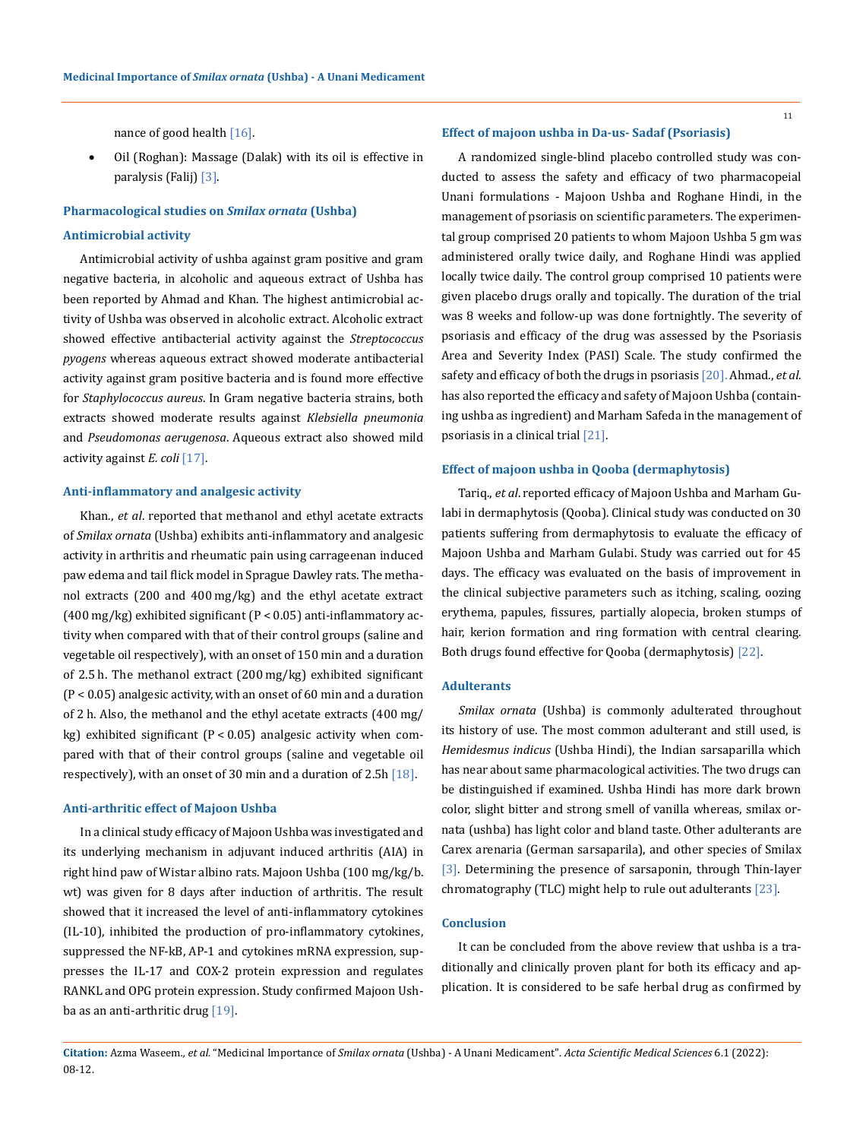nance of good health [16].

Oil (Roghan): Massage (Dalak) with its oil is effective in paralysis (Falij) [3].

## **Pharmacological studies on** *Smilax ornata* **(Ushba)**

#### **Antimicrobial activity**

Antimicrobial activity of ushba against gram positive and gram negative bacteria, in alcoholic and aqueous extract of Ushba has been reported by Ahmad and Khan. The highest antimicrobial activity of Ushba was observed in alcoholic extract. Alcoholic extract showed effective antibacterial activity against the *Streptococcus pyogens* whereas aqueous extract showed moderate antibacterial activity against gram positive bacteria and is found more effective for *Staphylococcus aureus*. In Gram negative bacteria strains, both extracts showed moderate results against *Klebsiella pneumonia* and *Pseudomonas aerugenosa*. Aqueous extract also showed mild activity against *E. coli* [17].

#### **Anti-inflammatory and analgesic activity**

Khan., *et al*. reported that methanol and ethyl acetate extracts of *Smilax ornata* (Ushba) exhibits anti-inflammatory and analgesic activity in arthritis and rheumatic pain using carrageenan induced paw edema and tail flick model in Sprague Dawley rats. The methanol extracts (200 and 400 mg/kg) and the ethyl acetate extract (400 mg/kg) exhibited significant (P < 0.05) anti-inflammatory activity when compared with that of their control groups (saline and vegetable oil respectively), with an onset of 150 min and a duration of 2.5 h. The methanol extract (200 mg/kg) exhibited significant (P < 0.05) analgesic activity, with an onset of 60 min and a duration of 2 h. Also, the methanol and the ethyl acetate extracts (400 mg/ kg) exhibited significant (P < 0.05) analgesic activity when compared with that of their control groups (saline and vegetable oil respectively), with an onset of 30 min and a duration of 2.5h  $[18]$ .

## **Anti-arthritic effect of Majoon Ushba**

In a clinical study efficacy of Majoon Ushba was investigated and its underlying mechanism in adjuvant induced arthritis (AIA) in right hind paw of Wistar albino rats. Majoon Ushba (100 mg/kg/b. wt) was given for 8 days after induction of arthritis. The result showed that it increased the level of anti-inflammatory cytokines (IL-10), inhibited the production of pro-inflammatory cytokines, suppressed the NF-kB, AP-1 and cytokines mRNA expression, suppresses the IL-17 and COX-2 protein expression and regulates RANKL and OPG protein expression. Study confirmed Majoon Ushba as an anti-arthritic drug [19].

## **Effect of majoon ushba in Da-us- Sadaf (Psoriasis)**

A randomized single-blind placebo controlled study was conducted to assess the safety and efficacy of two pharmacopeial Unani formulations - Majoon Ushba and Roghane Hindi, in the management of psoriasis on scientific parameters. The experimental group comprised 20 patients to whom Majoon Ushba 5 gm was administered orally twice daily, and Roghane Hindi was applied locally twice daily. The control group comprised 10 patients were given placebo drugs orally and topically. The duration of the trial was 8 weeks and follow-up was done fortnightly. The severity of psoriasis and efficacy of the drug was assessed by the Psoriasis Area and Severity Index (PASI) Scale. The study confirmed the safety and efficacy of both the drugs in psoriasis [20]. Ahmad., *et al*. has also reported the efficacy and safety of Majoon Ushba (containing ushba as ingredient) and Marham Safeda in the management of psoriasis in a clinical trial [21].

## **Effect of majoon ushba in Qooba (dermaphytosis)**

Tariq., *et al*. reported efficacy of Majoon Ushba and Marham Gulabi in dermaphytosis (Qooba). Clinical study was conducted on 30 patients suffering from dermaphytosis to evaluate the efficacy of Majoon Ushba and Marham Gulabi. Study was carried out for 45 days. The efficacy was evaluated on the basis of improvement in the clinical subjective parameters such as itching, scaling, oozing erythema, papules, fissures, partially alopecia, broken stumps of hair, kerion formation and ring formation with central clearing. Both drugs found effective for Qooba (dermaphytosis) [22].

# **Adulterants**

*Smilax ornata* (Ushba) is commonly adulterated throughout its history of use. The most common adulterant and still used, is *Hemidesmus indicus* (Ushba Hindi), the Indian sarsaparilla which has near about same pharmacological activities. The two drugs can be distinguished if examined. Ushba Hindi has more dark brown color, slight bitter and strong smell of vanilla whereas, smilax ornata (ushba) has light color and bland taste. Other adulterants are Carex arenaria (German sarsaparila), and other species of Smilax [3]. Determining the presence of sarsaponin, through Thin-layer chromatography (TLC) might help to rule out adulterants [23].

# **Conclusion**

It can be concluded from the above review that ushba is a traditionally and clinically proven plant for both its efficacy and application. It is considered to be safe herbal drug as confirmed by

**Citation:** Azma Waseem*., et al.* "Medicinal Importance of *Smilax ornata* (Ushba) - A Unani Medicament". *Acta Scientific Medical Sciences* 6.1 (2022): 08-12.